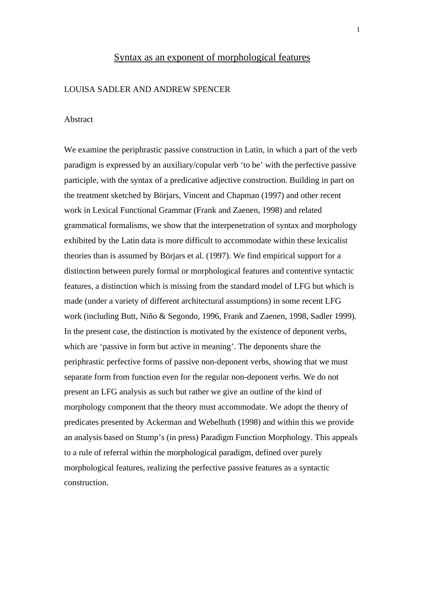# Syntax as an exponent of morphological features

### LOUISA SADLER AND ANDREW SPENCER

#### Abstract

We examine the periphrastic passive construction in Latin, in which a part of the verb paradigm is expressed by an auxiliary/copular verb 'to be' with the perfective passive participle, with the syntax of a predicative adjective construction. Building in part on the treatment sketched by Börjars, Vincent and Chapman (1997) and other recent work in Lexical Functional Grammar (Frank and Zaenen, 1998) and related grammatical formalisms, we show that the interpenetration of syntax and morphology exhibited by the Latin data is more difficult to accommodate within these lexicalist theories than is assumed by Börjars et al. (1997). We find empirical support for a distinction between purely formal or morphological features and contentive syntactic features, a distinction which is missing from the standard model of LFG but which is made (under a variety of different architectural assumptions) in some recent LFG work (including Butt, Niño & Segondo, 1996, Frank and Zaenen, 1998, Sadler 1999). In the present case, the distinction is motivated by the existence of deponent verbs, which are 'passive in form but active in meaning'. The deponents share the periphrastic perfective forms of passive non-deponent verbs, showing that we must separate form from function even for the regular non-deponent verbs. We do not present an LFG analysis as such but rather we give an outline of the kind of morphology component that the theory must accommodate. We adopt the theory of predicates presented by Ackerman and Webelhuth (1998) and within this we provide an analysis based on Stump's (in press) Paradigm Function Morphology. This appeals to a rule of referral within the morphological paradigm, defined over purely morphological features, realizing the perfective passive features as a syntactic construction.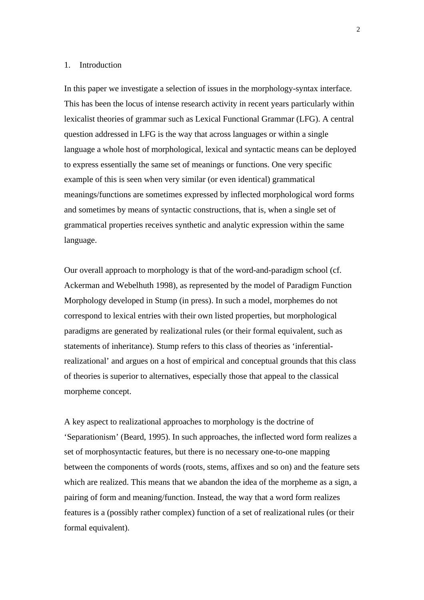# 1. Introduction

In this paper we investigate a selection of issues in the morphology-syntax interface. This has been the locus of intense research activity in recent years particularly within lexicalist theories of grammar such as Lexical Functional Grammar (LFG). A central question addressed in LFG is the way that across languages or within a single language a whole host of morphological, lexical and syntactic means can be deployed to express essentially the same set of meanings or functions. One very specific example of this is seen when very similar (or even identical) grammatical meanings/functions are sometimes expressed by inflected morphological word forms and sometimes by means of syntactic constructions, that is, when a single set of grammatical properties receives synthetic and analytic expression within the same language.

Our overall approach to morphology is that of the word-and-paradigm school (cf. Ackerman and Webelhuth 1998), as represented by the model of Paradigm Function Morphology developed in Stump (in press). In such a model, morphemes do not correspond to lexical entries with their own listed properties, but morphological paradigms are generated by realizational rules (or their formal equivalent, such as statements of inheritance). Stump refers to this class of theories as 'inferentialrealizational' and argues on a host of empirical and conceptual grounds that this class of theories is superior to alternatives, especially those that appeal to the classical morpheme concept.

A key aspect to realizational approaches to morphology is the doctrine of 'Separationism' (Beard, 1995). In such approaches, the inflected word form realizes a set of morphosyntactic features, but there is no necessary one-to-one mapping between the components of words (roots, stems, affixes and so on) and the feature sets which are realized. This means that we abandon the idea of the morpheme as a sign, a pairing of form and meaning/function. Instead, the way that a word form realizes features is a (possibly rather complex) function of a set of realizational rules (or their formal equivalent).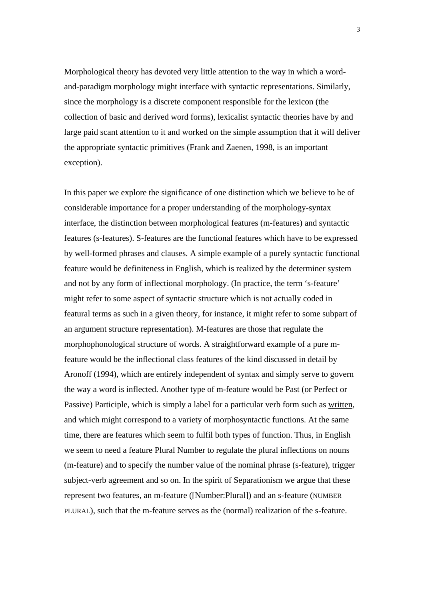Morphological theory has devoted very little attention to the way in which a wordand-paradigm morphology might interface with syntactic representations. Similarly, since the morphology is a discrete component responsible for the lexicon (the collection of basic and derived word forms), lexicalist syntactic theories have by and large paid scant attention to it and worked on the simple assumption that it will deliver the appropriate syntactic primitives (Frank and Zaenen, 1998, is an important exception).

In this paper we explore the significance of one distinction which we believe to be of considerable importance for a proper understanding of the morphology-syntax interface, the distinction between morphological features (m-features) and syntactic features (s-features). S-features are the functional features which have to be expressed by well-formed phrases and clauses. A simple example of a purely syntactic functional feature would be definiteness in English, which is realized by the determiner system and not by any form of inflectional morphology. (In practice, the term 's-feature' might refer to some aspect of syntactic structure which is not actually coded in featural terms as such in a given theory, for instance, it might refer to some subpart of an argument structure representation). M-features are those that regulate the morphophonological structure of words. A straightforward example of a pure mfeature would be the inflectional class features of the kind discussed in detail by Aronoff (1994), which are entirely independent of syntax and simply serve to govern the way a word is inflected. Another type of m-feature would be Past (or Perfect or Passive) Participle, which is simply a label for a particular verb form such as written, and which might correspond to a variety of morphosyntactic functions. At the same time, there are features which seem to fulfil both types of function. Thus, in English we seem to need a feature Plural Number to regulate the plural inflections on nouns (m-feature) and to specify the number value of the nominal phrase (s-feature), trigger subject-verb agreement and so on. In the spirit of Separationism we argue that these represent two features, an m-feature ([Number:Plural]) and an s-feature (NUMBER PLURAL), such that the m-feature serves as the (normal) realization of the s-feature.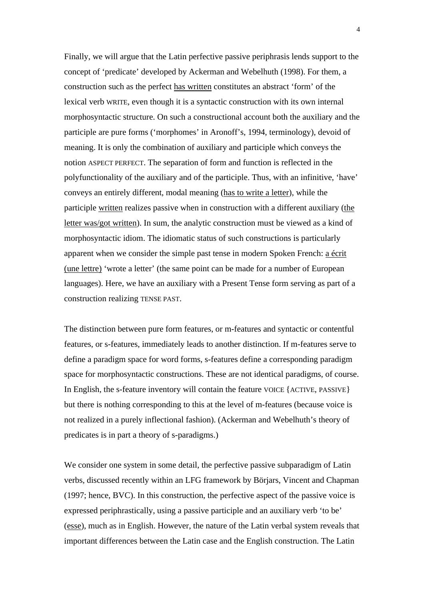Finally, we will argue that the Latin perfective passive periphrasis lends support to the concept of 'predicate' developed by Ackerman and Webelhuth (1998). For them, a construction such as the perfect has written constitutes an abstract 'form' of the lexical verb WRITE, even though it is a syntactic construction with its own internal morphosyntactic structure. On such a constructional account both the auxiliary and the participle are pure forms ('morphomes' in Aronoff's, 1994, terminology), devoid of meaning. It is only the combination of auxiliary and participle which conveys the notion ASPECT PERFECT. The separation of form and function is reflected in the polyfunctionality of the auxiliary and of the participle. Thus, with an infinitive, 'have' conveys an entirely different, modal meaning (has to write a letter), while the participle written realizes passive when in construction with a different auxiliary (the letter was/got written). In sum, the analytic construction must be viewed as a kind of morphosyntactic idiom. The idiomatic status of such constructions is particularly apparent when we consider the simple past tense in modern Spoken French: a écrit (une lettre) 'wrote a letter' (the same point can be made for a number of European languages). Here, we have an auxiliary with a Present Tense form serving as part of a construction realizing TENSE PAST.

The distinction between pure form features, or m-features and syntactic or contentful features, or s-features, immediately leads to another distinction. If m-features serve to define a paradigm space for word forms, s-features define a corresponding paradigm space for morphosyntactic constructions. These are not identical paradigms, of course. In English, the s-feature inventory will contain the feature VOICE {ACTIVE, PASSIVE} but there is nothing corresponding to this at the level of m-features (because voice is not realized in a purely inflectional fashion). (Ackerman and Webelhuth's theory of predicates is in part a theory of s-paradigms.)

We consider one system in some detail, the perfective passive subparadigm of Latin verbs, discussed recently within an LFG framework by Börjars, Vincent and Chapman (1997; hence, BVC). In this construction, the perfective aspect of the passive voice is expressed periphrastically, using a passive participle and an auxiliary verb 'to be' (esse), much as in English. However, the nature of the Latin verbal system reveals that important differences between the Latin case and the English construction. The Latin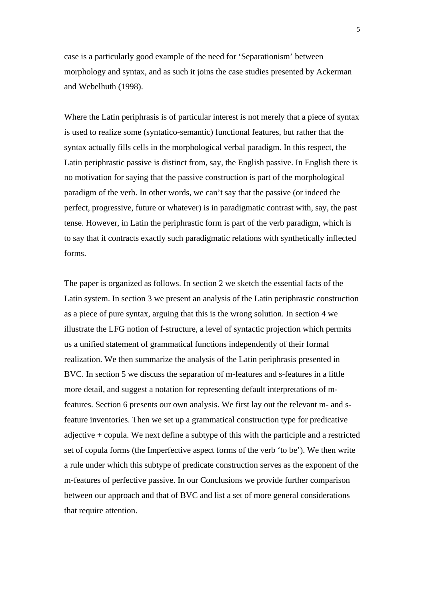case is a particularly good example of the need for 'Separationism' between morphology and syntax, and as such it joins the case studies presented by Ackerman and Webelhuth (1998).

Where the Latin periphrasis is of particular interest is not merely that a piece of syntax is used to realize some (syntatico-semantic) functional features, but rather that the syntax actually fills cells in the morphological verbal paradigm. In this respect, the Latin periphrastic passive is distinct from, say, the English passive. In English there is no motivation for saying that the passive construction is part of the morphological paradigm of the verb. In other words, we can't say that the passive (or indeed the perfect, progressive, future or whatever) is in paradigmatic contrast with, say, the past tense. However, in Latin the periphrastic form is part of the verb paradigm, which is to say that it contracts exactly such paradigmatic relations with synthetically inflected forms.

The paper is organized as follows. In section 2 we sketch the essential facts of the Latin system. In section 3 we present an analysis of the Latin periphrastic construction as a piece of pure syntax, arguing that this is the wrong solution. In section 4 we illustrate the LFG notion of f-structure, a level of syntactic projection which permits us a unified statement of grammatical functions independently of their formal realization. We then summarize the analysis of the Latin periphrasis presented in BVC. In section 5 we discuss the separation of m-features and s-features in a little more detail, and suggest a notation for representing default interpretations of mfeatures. Section 6 presents our own analysis. We first lay out the relevant m- and sfeature inventories. Then we set up a grammatical construction type for predicative adjective + copula. We next define a subtype of this with the participle and a restricted set of copula forms (the Imperfective aspect forms of the verb 'to be'). We then write a rule under which this subtype of predicate construction serves as the exponent of the m-features of perfective passive. In our Conclusions we provide further comparison between our approach and that of BVC and list a set of more general considerations that require attention.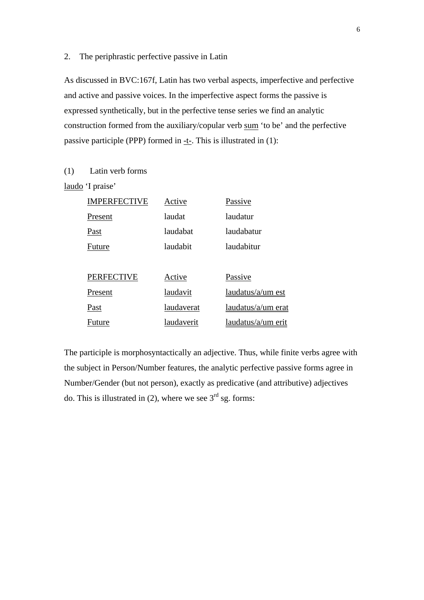### 2. The periphrastic perfective passive in Latin

As discussed in BVC:167f, Latin has two verbal aspects, imperfective and perfective and active and passive voices. In the imperfective aspect forms the passive is expressed synthetically, but in the perfective tense series we find an analytic construction formed from the auxiliary/copular verb sum 'to be' and the perfective passive participle (PPP) formed in  $-t$ . This is illustrated in  $(1)$ :

(1) Latin verb forms

laudo 'I praise'

| <b>IMPERFECTIVE</b> | Active     | Passive                  |
|---------------------|------------|--------------------------|
| Present             | laudat     | laudatur                 |
| Past                | laudabat   | laudabatur               |
| Future              | laudabit   | laudabitur               |
|                     |            |                          |
| <b>PERFECTIVE</b>   | Active     | Passive                  |
| Present             | laudavit   | <u>laudatus/a/um est</u> |
| Past                | laudaverat | laudatus/a/um erat       |
| Future              | laudaverit | laudatus/a/um erit       |

The participle is morphosyntactically an adjective. Thus, while finite verbs agree with the subject in Person/Number features, the analytic perfective passive forms agree in Number/Gender (but not person), exactly as predicative (and attributive) adjectives do. This is illustrated in (2), where we see  $3<sup>rd</sup>$  sg. forms: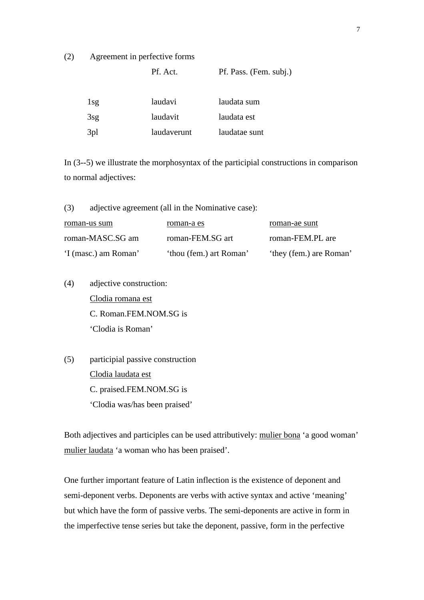# (2) Agreement in perfective forms

Pf. Act. Pf. Pass. (Fem. subj.)

| $1$ sg | laudavi     | laudata sum   |
|--------|-------------|---------------|
| 3sg    | laudavit    | laudata est   |
| 3pl    | laudaverunt | laudatae sunt |

In (3--5) we illustrate the morphosyntax of the participial constructions in comparison to normal adjectives:

| (3)                  | adjective agreement (all in the Nominative case): |                         |
|----------------------|---------------------------------------------------|-------------------------|
| roman-us sum         | roman-a es                                        | roman-ae sunt           |
| roman-MASC.SG am     | roman-FEM.SG art                                  | roman-FEM.PL are        |
| 'I (masc.) am Roman' | 'thou (fem.) art Roman'                           | 'they (fem.) are Roman' |

- (4) adjective construction: Clodia romana est C. Roman.FEM.NOM.SG is 'Clodia is Roman'
- (5) participial passive construction Clodia laudata est C. praised.FEM.NOM.SG is 'Clodia was/has been praised'

Both adjectives and participles can be used attributively: mulier bona 'a good woman' mulier laudata 'a woman who has been praised'.

One further important feature of Latin inflection is the existence of deponent and semi-deponent verbs. Deponents are verbs with active syntax and active 'meaning' but which have the form of passive verbs. The semi-deponents are active in form in the imperfective tense series but take the deponent, passive, form in the perfective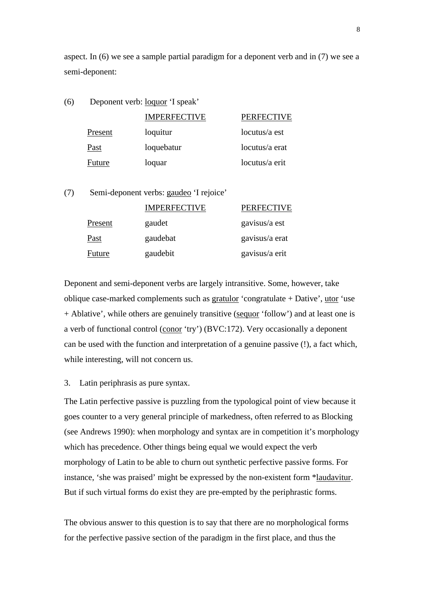aspect. In (6) we see a sample partial paradigm for a deponent verb and in (7) we see a semi-deponent:

| (6) | Deponent verb: loquor 'I speak' |                                         |                   |
|-----|---------------------------------|-----------------------------------------|-------------------|
|     |                                 | <b>IMPERFECTIVE</b>                     | <b>PERFECTIVE</b> |
|     | Present                         | loquitur                                | locutus/a est     |
|     | Past                            | loquebatur                              | locutus/a erat    |
|     | Future                          | loquar                                  | locutus/a erit    |
|     |                                 |                                         |                   |
| (7) |                                 | Semi-deponent verbs: gaudeo 'I rejoice' |                   |
|     |                                 | <b>IMPERFECTIVE</b>                     | <b>PERFECTIVE</b> |
|     | Present                         | gaudet                                  | gavisus/a est     |

Past gaudebat gavisus/a erat

Future gaudebit gavisus/a erit

Deponent and semi-deponent verbs are largely intransitive. Some, however, take oblique case-marked complements such as gratulor 'congratulate + Dative', utor 'use + Ablative', while others are genuinely transitive (sequor 'follow') and at least one is a verb of functional control (conor 'try') (BVC:172). Very occasionally a deponent can be used with the function and interpretation of a genuine passive (!), a fact which, while interesting, will not concern us.

3. Latin periphrasis as pure syntax.

The Latin perfective passive is puzzling from the typological point of view because it goes counter to a very general principle of markedness, often referred to as Blocking (see Andrews 1990): when morphology and syntax are in competition it's morphology which has precedence. Other things being equal we would expect the verb morphology of Latin to be able to churn out synthetic perfective passive forms. For instance, 'she was praised' might be expressed by the non-existent form \*laudavitur. But if such virtual forms do exist they are pre-empted by the periphrastic forms.

The obvious answer to this question is to say that there are no morphological forms for the perfective passive section of the paradigm in the first place, and thus the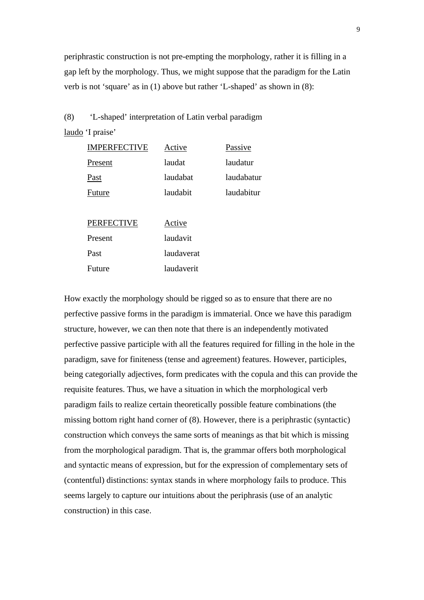periphrastic construction is not pre-empting the morphology, rather it is filling in a gap left by the morphology. Thus, we might suppose that the paradigm for the Latin verb is not 'square' as in (1) above but rather 'L-shaped' as shown in (8):

(8) 'L-shaped' interpretation of Latin verbal paradigm

# laudo 'I praise'

| <b>IMPERFECTIVE</b> | Active     | Passive    |
|---------------------|------------|------------|
| Present             | laudat     | laudatur   |
| Past                | laudabat   | laudabatur |
| Future              | laudabit   | laudabitur |
|                     |            |            |
| <b>PERFECTIVE</b>   | Active     |            |
| Present             | laudavit   |            |
| Past                | laudaverat |            |
| Future              | laudaverit |            |

How exactly the morphology should be rigged so as to ensure that there are no perfective passive forms in the paradigm is immaterial. Once we have this paradigm structure, however, we can then note that there is an independently motivated perfective passive participle with all the features required for filling in the hole in the paradigm, save for finiteness (tense and agreement) features. However, participles, being categorially adjectives, form predicates with the copula and this can provide the requisite features. Thus, we have a situation in which the morphological verb paradigm fails to realize certain theoretically possible feature combinations (the missing bottom right hand corner of (8). However, there is a periphrastic (syntactic) construction which conveys the same sorts of meanings as that bit which is missing from the morphological paradigm. That is, the grammar offers both morphological and syntactic means of expression, but for the expression of complementary sets of (contentful) distinctions: syntax stands in where morphology fails to produce. This seems largely to capture our intuitions about the periphrasis (use of an analytic construction) in this case.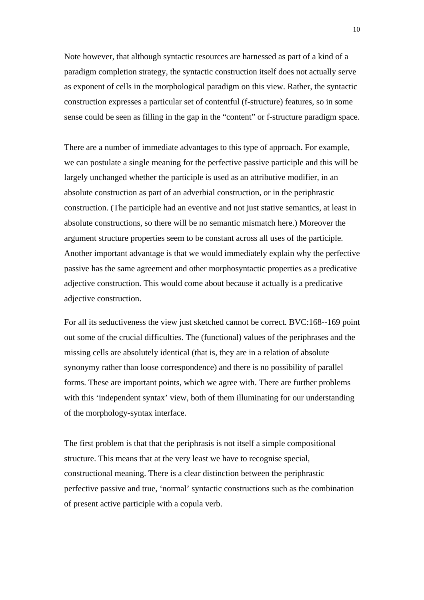Note however, that although syntactic resources are harnessed as part of a kind of a paradigm completion strategy, the syntactic construction itself does not actually serve as exponent of cells in the morphological paradigm on this view. Rather, the syntactic construction expresses a particular set of contentful (f-structure) features, so in some sense could be seen as filling in the gap in the "content" or f-structure paradigm space.

There are a number of immediate advantages to this type of approach. For example, we can postulate a single meaning for the perfective passive participle and this will be largely unchanged whether the participle is used as an attributive modifier, in an absolute construction as part of an adverbial construction, or in the periphrastic construction. (The participle had an eventive and not just stative semantics, at least in absolute constructions, so there will be no semantic mismatch here.) Moreover the argument structure properties seem to be constant across all uses of the participle. Another important advantage is that we would immediately explain why the perfective passive has the same agreement and other morphosyntactic properties as a predicative adjective construction. This would come about because it actually is a predicative adjective construction.

For all its seductiveness the view just sketched cannot be correct. BVC:168--169 point out some of the crucial difficulties. The (functional) values of the periphrases and the missing cells are absolutely identical (that is, they are in a relation of absolute synonymy rather than loose correspondence) and there is no possibility of parallel forms. These are important points, which we agree with. There are further problems with this 'independent syntax' view, both of them illuminating for our understanding of the morphology-syntax interface.

The first problem is that that the periphrasis is not itself a simple compositional structure. This means that at the very least we have to recognise special, constructional meaning. There is a clear distinction between the periphrastic perfective passive and true, 'normal' syntactic constructions such as the combination of present active participle with a copula verb.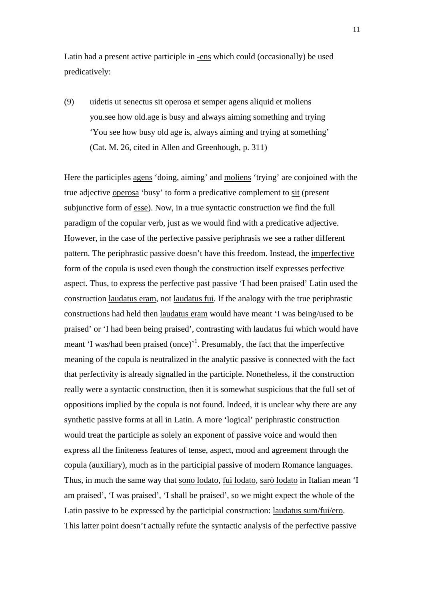Latin had a present active participle in -ens which could (occasionally) be used predicatively:

(9) uidetis ut senectus sit operosa et semper agens aliquid et moliens you.see how old.age is busy and always aiming something and trying 'You see how busy old age is, always aiming and trying at something' (Cat. M. 26, cited in Allen and Greenhough, p. 311)

Here the participles agens 'doing, aiming' and moliens 'trying' are conjoined with the true adjective operosa 'busy' to form a predicative complement to sit (present subjunctive form of esse). Now, in a true syntactic construction we find the full paradigm of the copular verb, just as we would find with a predicative adjective. However, in the case of the perfective passive periphrasis we see a rather different pattern. The periphrastic passive doesn't have this freedom. Instead, the imperfective form of the copula is used even though the construction itself expresses perfective aspect. Thus, to express the perfective past passive 'I had been praised' Latin used the construction laudatus eram, not laudatus fui. If the analogy with the true periphrastic constructions had held then laudatus eram would have meant 'I was being/used to be praised' or 'I had been being praised', contrasting with laudatus fui which would have meant 'I was/had been praised (once)<sup>1</sup>. Presumably, the fact that the imperfective meaning of the copula is neutralized in the analytic passive is connected with the fact that perfectivity is already signalled in the participle. Nonetheless, if the construction really were a syntactic construction, then it is somewhat suspicious that the full set of oppositions implied by the copula is not found. Indeed, it is unclear why there are any synthetic passive forms at all in Latin. A more 'logical' periphrastic construction would treat the participle as solely an exponent of passive voice and would then express all the finiteness features of tense, aspect, mood and agreement through the copula (auxiliary), much as in the participial passive of modern Romance languages. Thus, in much the same way that sono lodato, fui lodato, sarò lodato in Italian mean 'I am praised', 'I was praised', 'I shall be praised', so we might expect the whole of the Latin passive to be expressed by the participial construction: laudatus sum/fui/ero. This latter point doesn't actually refute the syntactic analysis of the perfective passive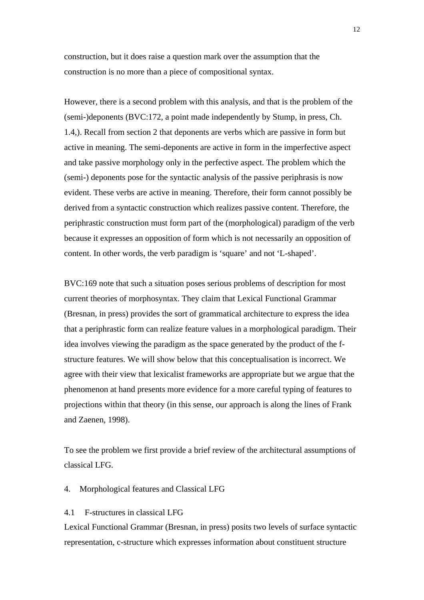construction, but it does raise a question mark over the assumption that the construction is no more than a piece of compositional syntax.

However, there is a second problem with this analysis, and that is the problem of the (semi-)deponents (BVC:172, a point made independently by Stump, in press, Ch. 1.4,). Recall from section 2 that deponents are verbs which are passive in form but active in meaning. The semi-deponents are active in form in the imperfective aspect and take passive morphology only in the perfective aspect. The problem which the (semi-) deponents pose for the syntactic analysis of the passive periphrasis is now evident. These verbs are active in meaning. Therefore, their form cannot possibly be derived from a syntactic construction which realizes passive content. Therefore, the periphrastic construction must form part of the (morphological) paradigm of the verb because it expresses an opposition of form which is not necessarily an opposition of content. In other words, the verb paradigm is 'square' and not 'L-shaped'.

BVC:169 note that such a situation poses serious problems of description for most current theories of morphosyntax. They claim that Lexical Functional Grammar (Bresnan, in press) provides the sort of grammatical architecture to express the idea that a periphrastic form can realize feature values in a morphological paradigm. Their idea involves viewing the paradigm as the space generated by the product of the fstructure features. We will show below that this conceptualisation is incorrect. We agree with their view that lexicalist frameworks are appropriate but we argue that the phenomenon at hand presents more evidence for a more careful typing of features to projections within that theory (in this sense, our approach is along the lines of Frank and Zaenen, 1998).

To see the problem we first provide a brief review of the architectural assumptions of classical LFG.

# 4. Morphological features and Classical LFG

# 4.1 F-structures in classical LFG

Lexical Functional Grammar (Bresnan, in press) posits two levels of surface syntactic representation, c-structure which expresses information about constituent structure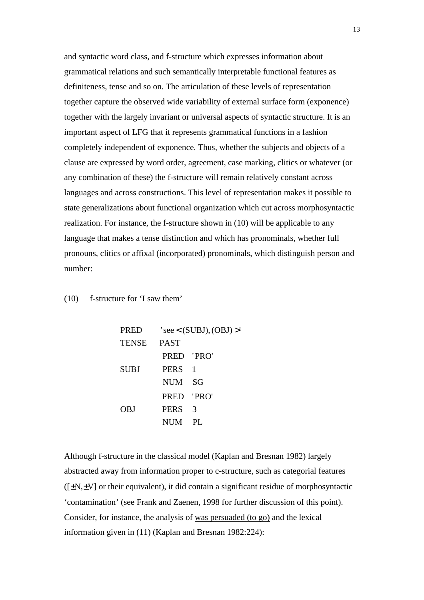and syntactic word class, and f-structure which expresses information about grammatical relations and such semantically interpretable functional features as definiteness, tense and so on. The articulation of these levels of representation together capture the observed wide variability of external surface form (exponence) together with the largely invariant or universal aspects of syntactic structure. It is an important aspect of LFG that it represents grammatical functions in a fashion completely independent of exponence. Thus, whether the subjects and objects of a clause are expressed by word order, agreement, case marking, clitics or whatever (or any combination of these) the f-structure will remain relatively constant across languages and across constructions. This level of representation makes it possible to state generalizations about functional organization which cut across morphosyntactic realization. For instance, the f-structure shown in (10) will be applicable to any language that makes a tense distinction and which has pronominals, whether full pronouns, clitics or affixal (incorporated) pronominals, which distinguish person and number:

(10) f-structure for 'I saw them'

| <b>PRED</b>  | $\text{V} \sec \lt (\text{SUBJ})$ , (OBJ) $>$ |            |
|--------------|-----------------------------------------------|------------|
| <b>TENSE</b> | <b>PAST</b>                                   |            |
|              |                                               | PRED 'PRO' |
| <b>SUBJ</b>  | PERS <sub>1</sub>                             |            |
|              | NUM SG                                        |            |
| <b>OBJ</b>   | PRED 'PRO']                                   |            |
|              | PERS <sub>3</sub>                             |            |
|              | NUM PL                                        |            |

Although f-structure in the classical model (Kaplan and Bresnan 1982) largely abstracted away from information proper to c-structure, such as categorial features  $([±N,±V]$  or their equivalent), it did contain a significant residue of morphosyntactic 'contamination' (see Frank and Zaenen, 1998 for further discussion of this point). Consider, for instance, the analysis of was persuaded (to go) and the lexical information given in (11) (Kaplan and Bresnan 1982:224):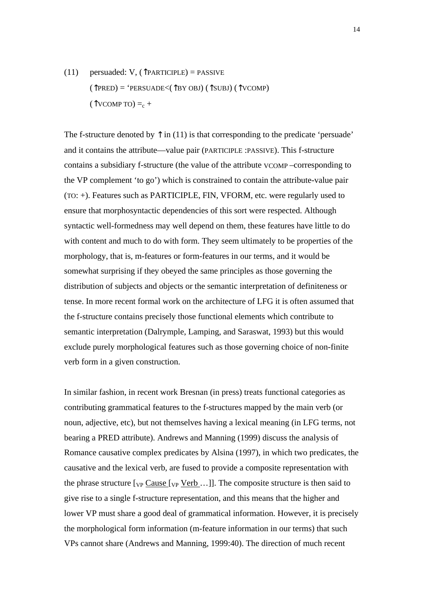(11) persuaded: V,  $(\hat{\Gamma}$ PARTICIPLE) = PASSIVE  $(\uparrow_{PRED})$  = 'PERSUADE< $(\uparrow_{BY}$  OBJ)  $(\uparrow_{SUBJ})$   $(\uparrow_{VCOMP})$  $(\uparrow \text{VCOMP TO}) =_{c} +$ 

The f-structure denoted by  $\uparrow$  in (11) is that corresponding to the predicate 'persuade' and it contains the attribute—value pair (PARTICIPLE :PASSIVE). This f-structure contains a subsidiary f-structure (the value of the attribute VCOMP –corresponding to the VP complement 'to go') which is constrained to contain the attribute-value pair (TO: +). Features such as PARTICIPLE, FIN, VFORM, etc. were regularly used to ensure that morphosyntactic dependencies of this sort were respected. Although syntactic well-formedness may well depend on them, these features have little to do with content and much to do with form. They seem ultimately to be properties of the morphology, that is, m-features or form-features in our terms, and it would be somewhat surprising if they obeyed the same principles as those governing the distribution of subjects and objects or the semantic interpretation of definiteness or tense. In more recent formal work on the architecture of LFG it is often assumed that the f-structure contains precisely those functional elements which contribute to semantic interpretation (Dalrymple, Lamping, and Saraswat, 1993) but this would exclude purely morphological features such as those governing choice of non-finite verb form in a given construction.

In similar fashion, in recent work Bresnan (in press) treats functional categories as contributing grammatical features to the f-structures mapped by the main verb (or noun, adjective, etc), but not themselves having a lexical meaning (in LFG terms, not bearing a PRED attribute). Andrews and Manning (1999) discuss the analysis of Romance causative complex predicates by Alsina (1997), in which two predicates, the causative and the lexical verb, are fused to provide a composite representation with the phrase structure  $[\nabla P \text{ } \underline{C}$  ause  $[\nabla P \text{ } \underline{V}$  erb...]. The composite structure is then said to give rise to a single f-structure representation, and this means that the higher and lower VP must share a good deal of grammatical information. However, it is precisely the morphological form information (m-feature information in our terms) that such VPs cannot share (Andrews and Manning, 1999:40). The direction of much recent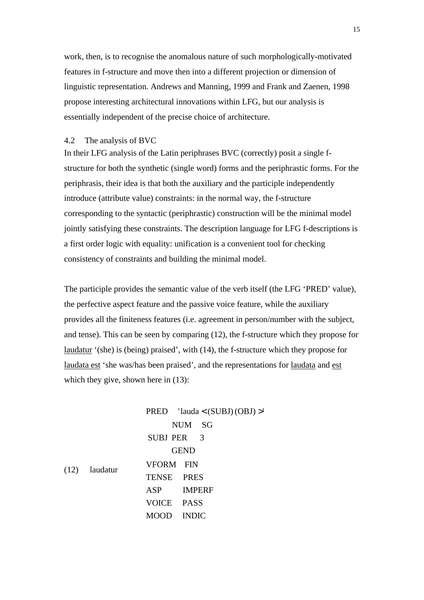work, then, is to recognise the anomalous nature of such morphologically-motivated features in f-structure and move then into a different projection or dimension of linguistic representation. Andrews and Manning, 1999 and Frank and Zaenen, 1998 propose interesting architectural innovations within LFG, but our analysis is essentially independent of the precise choice of architecture.

# 4.2 The analysis of BVC

In their LFG analysis of the Latin periphrases BVC (correctly) posit a single fstructure for both the synthetic (single word) forms and the periphrastic forms. For the periphrasis, their idea is that both the auxiliary and the participle independently introduce (attribute value) constraints: in the normal way, the f-structure corresponding to the syntactic (periphrastic) construction will be the minimal model jointly satisfying these constraints. The description language for LFG f-descriptions is a first order logic with equality: unification is a convenient tool for checking consistency of constraints and building the minimal model.

The participle provides the semantic value of the verb itself (the LFG 'PRED' value), the perfective aspect feature and the passive voice feature, while the auxiliary provides all the finiteness features (i.e. agreement in person/number with the subject, and tense). This can be seen by comparing (12), the f-structure which they propose for laudatur '(she) is (being) praised', with (14), the f-structure which they propose for laudata est 'she was/has been praised', and the representations for laudata and est which they give, shown here in  $(13)$ :

(12)

\n

| laudatur | \n $\begin{bmatrix}\n \text{PRED} & 'lauda < (\text{SUBJ}) (\text{OBJ}) > ' \\ \text{SUBJ} & \text{PER} & 3 \\ \text{GEND} & \text{GEND}\n \end{bmatrix}$ \n |                                                                                                                                                                                             |
|----------|--------------------------------------------------------------------------------------------------------------------------------------------------------------|---------------------------------------------------------------------------------------------------------------------------------------------------------------------------------------------|
| 12)      | laudatur                                                                                                                                                     | \n $\begin{bmatrix}\n \text{YFORM} & \text{FIN} \\ \text{TENSE} & \text{PRES} \\ \text{ASP} & \text{IMPERF} \\ \text{NOOCE} & \text{PASS} \\ \text{MOOD} & \text{INDIC}\n \end{bmatrix}$ \n |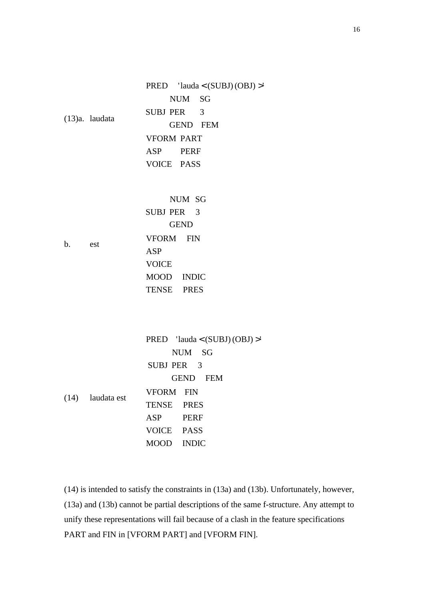

(14) is intended to satisfy the constraints in (13a) and (13b). Unfortunately, however, (13a) and (13b) cannot be partial descriptions of the same f-structure. Any attempt to unify these representations will fail because of a clash in the feature specifications PART and FIN in [VFORM PART] and [VFORM FIN].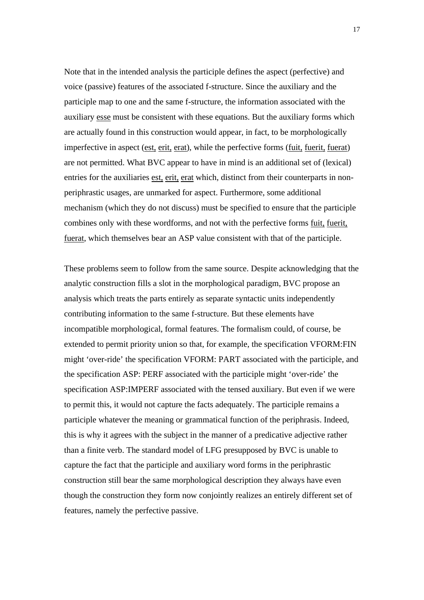Note that in the intended analysis the participle defines the aspect (perfective) and voice (passive) features of the associated f-structure. Since the auxiliary and the participle map to one and the same f-structure, the information associated with the auxiliary esse must be consistent with these equations. But the auxiliary forms which are actually found in this construction would appear, in fact, to be morphologically imperfective in aspect (est, erit, erat), while the perfective forms (fuit, fuerit, fuerat) are not permitted. What BVC appear to have in mind is an additional set of (lexical) entries for the auxiliaries est, erit, erat which, distinct from their counterparts in nonperiphrastic usages, are unmarked for aspect. Furthermore, some additional mechanism (which they do not discuss) must be specified to ensure that the participle combines only with these wordforms, and not with the perfective forms fuit, fuerit, fuerat, which themselves bear an ASP value consistent with that of the participle.

These problems seem to follow from the same source. Despite acknowledging that the analytic construction fills a slot in the morphological paradigm, BVC propose an analysis which treats the parts entirely as separate syntactic units independently contributing information to the same f-structure. But these elements have incompatible morphological, formal features. The formalism could, of course, be extended to permit priority union so that, for example, the specification VFORM:FIN might 'over-ride' the specification VFORM: PART associated with the participle, and the specification ASP: PERF associated with the participle might 'over-ride' the specification ASP:IMPERF associated with the tensed auxiliary. But even if we were to permit this, it would not capture the facts adequately. The participle remains a participle whatever the meaning or grammatical function of the periphrasis. Indeed, this is why it agrees with the subject in the manner of a predicative adjective rather than a finite verb. The standard model of LFG presupposed by BVC is unable to capture the fact that the participle and auxiliary word forms in the periphrastic construction still bear the same morphological description they always have even though the construction they form now conjointly realizes an entirely different set of features, namely the perfective passive.

17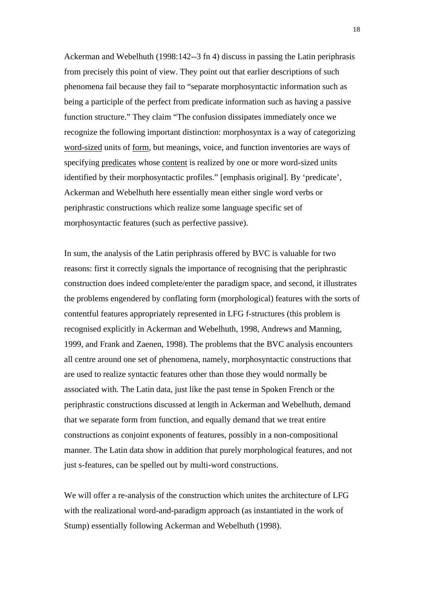Ackerman and Webelhuth (1998:142--3 fn 4) discuss in passing the Latin periphrasis from precisely this point of view. They point out that earlier descriptions of such phenomena fail because they fail to "separate morphosyntactic information such as being a participle of the perfect from predicate information such as having a passive function structure." They claim "The confusion dissipates immediately once we recognize the following important distinction: morphosyntax is a way of categorizing word-sized units of form, but meanings, voice, and function inventories are ways of specifying predicates whose content is realized by one or more word-sized units identified by their morphosyntactic profiles." [emphasis original]. By 'predicate', Ackerman and Webelhuth here essentially mean either single word verbs or periphrastic constructions which realize some language specific set of morphosyntactic features (such as perfective passive).

In sum, the analysis of the Latin periphrasis offered by BVC is valuable for two reasons: first it correctly signals the importance of recognising that the periphrastic construction does indeed complete/enter the paradigm space, and second, it illustrates the problems engendered by conflating form (morphological) features with the sorts of contentful features appropriately represented in LFG f-structures (this problem is recognised explicitly in Ackerman and Webelhuth, 1998, Andrews and Manning, 1999, and Frank and Zaenen, 1998). The problems that the BVC analysis encounters all centre around one set of phenomena, namely, morphosyntactic constructions that are used to realize syntactic features other than those they would normally be associated with. The Latin data, just like the past tense in Spoken French or the periphrastic constructions discussed at length in Ackerman and Webelhuth, demand that we separate form from function, and equally demand that we treat entire constructions as conjoint exponents of features, possibly in a non-compositional manner. The Latin data show in addition that purely morphological features, and not just s-features, can be spelled out by multi-word constructions.

We will offer a re-analysis of the construction which unites the architecture of LFG with the realizational word-and-paradigm approach (as instantiated in the work of Stump) essentially following Ackerman and Webelhuth (1998).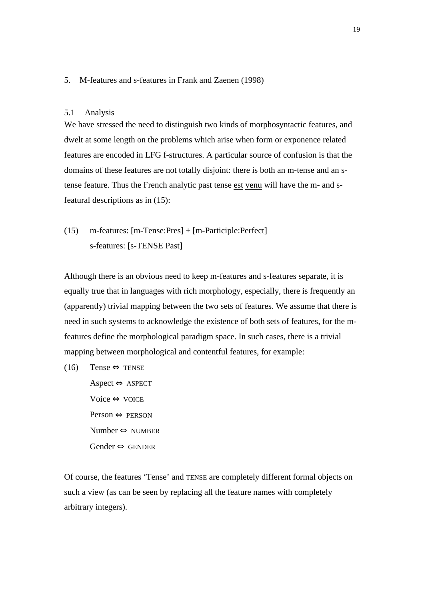#### 5. M-features and s-features in Frank and Zaenen (1998)

# 5.1 Analysis

We have stressed the need to distinguish two kinds of morphosyntactic features, and dwelt at some length on the problems which arise when form or exponence related features are encoded in LFG f-structures. A particular source of confusion is that the domains of these features are not totally disjoint: there is both an m-tense and an stense feature. Thus the French analytic past tense est venu will have the m- and sfeatural descriptions as in (15):

(15) m-features: [m-Tense:Pres] + [m-Participle:Perfect] s-features: [s-TENSE Past]

Although there is an obvious need to keep m-features and s-features separate, it is equally true that in languages with rich morphology, especially, there is frequently an (apparently) trivial mapping between the two sets of features. We assume that there is need in such systems to acknowledge the existence of both sets of features, for the mfeatures define the morphological paradigm space. In such cases, there is a trivial mapping between morphological and contentful features, for example:

 $(16)$  Tense  $\Leftrightarrow$  TENSE

Aspect ⇔ ASPECT Voice ⇔ VOICE Person ⇔ PERSON Number ⇔ NUMBER  $G$ ender  $\Leftrightarrow$  GENDER

Of course, the features 'Tense' and TENSE are completely different formal objects on such a view (as can be seen by replacing all the feature names with completely arbitrary integers).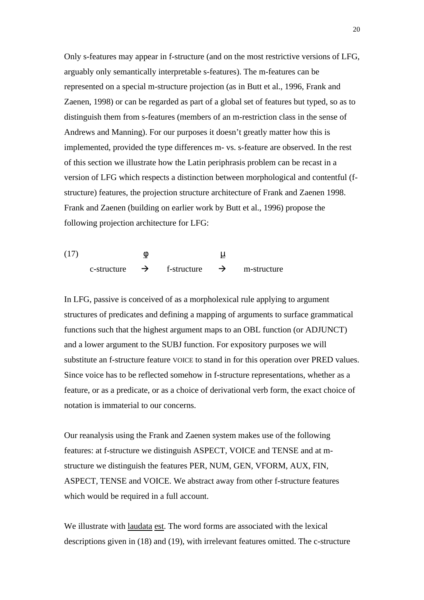Only s-features may appear in f-structure (and on the most restrictive versions of LFG, arguably only semantically interpretable s-features). The m-features can be represented on a special m-structure projection (as in Butt et al., 1996, Frank and Zaenen, 1998) or can be regarded as part of a global set of features but typed, so as to distinguish them from s-features (members of an m-restriction class in the sense of Andrews and Manning). For our purposes it doesn't greatly matter how this is implemented, provided the type differences m- vs. s-feature are observed. In the rest of this section we illustrate how the Latin periphrasis problem can be recast in a version of LFG which respects a distinction between morphological and contentful (fstructure) features, the projection structure architecture of Frank and Zaenen 1998. Frank and Zaenen (building on earlier work by Butt et al., 1996) propose the following projection architecture for LFG:

(17)  $φ$   $µ$ c-structure  $\rightarrow$  f-structure f-structure  $\rightarrow$  m-structure

In LFG, passive is conceived of as a morpholexical rule applying to argument structures of predicates and defining a mapping of arguments to surface grammatical functions such that the highest argument maps to an OBL function (or ADJUNCT) and a lower argument to the SUBJ function. For expository purposes we will substitute an f-structure feature VOICE to stand in for this operation over PRED values. Since voice has to be reflected somehow in f-structure representations, whether as a feature, or as a predicate, or as a choice of derivational verb form, the exact choice of notation is immaterial to our concerns.

Our reanalysis using the Frank and Zaenen system makes use of the following features: at f-structure we distinguish ASPECT, VOICE and TENSE and at mstructure we distinguish the features PER, NUM, GEN, VFORM, AUX, FIN, ASPECT, TENSE and VOICE. We abstract away from other f-structure features which would be required in a full account.

We illustrate with laudata est. The word forms are associated with the lexical descriptions given in (18) and (19), with irrelevant features omitted. The c-structure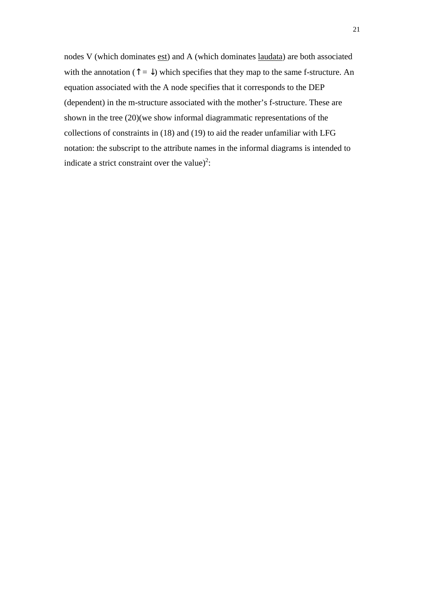nodes V (which dominates est) and A (which dominates laudata) are both associated with the annotation ( $\hat{\Gamma} = \hat{\psi}$ ) which specifies that they map to the same f-structure. An equation associated with the A node specifies that it corresponds to the DEP (dependent) in the m-structure associated with the mother's f-structure. These are shown in the tree (20)(we show informal diagrammatic representations of the collections of constraints in (18) and (19) to aid the reader unfamiliar with LFG notation: the subscript to the attribute names in the informal diagrams is intended to indicate a strict constraint over the value)<sup>2</sup>: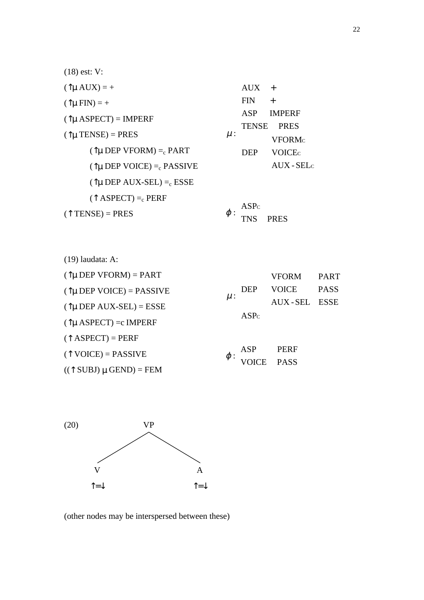

$$
\mu : \begin{bmatrix} \text{AUX} & + & & \\ \text{FIN} & + & & \\ \text{ASP} & \text{IMPERF} & \\ \text{TENSE} & \text{PRES} & \\ \text{DEP} & \begin{bmatrix} \text{VFORM} \\ \text{VOLCE} \\ \text{AUX} \text{-} \text{SELc} \end{bmatrix} \end{bmatrix}
$$

$$
\varphi : \begin{bmatrix} \text{ASPc} \\ \text{TNS} & \text{PRES} \end{bmatrix}
$$

(19) laudata: A:  
\n(
$$
\uparrow \mu
$$
 DEP VFORM) = PART  
\n( $\uparrow \mu$  DEP VOICE) = PASSIVE  
\n( $\uparrow \mu$  DEP AUX-SEL) = ESSE  
\n( $\uparrow \mu$  ASPECT) = c IMPERF  
\n( $\uparrow$  SOICE) = PASSIVE  
\n( $\uparrow$  YOICE) = PASSIVE  
\n( $\uparrow$  SOIE) = PASSIVE  
\n( $\uparrow$  SUBJ)  $\mu$  GEND) = FEM



(other nodes may be interspersed between these)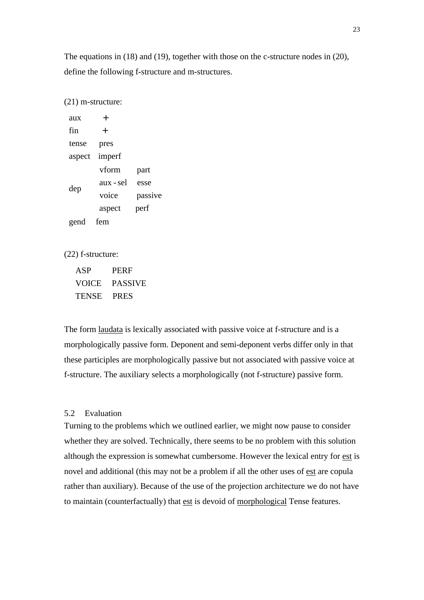The equations in (18) and (19), together with those on the c-structure nodes in (20), define the following f-structure and m-structures.

#### (21) m-structure:



(22) f-structure:

| $[$ ASP      | <b>PERF</b> |
|--------------|-------------|
| <i>VOICE</i> | PASSIVE     |
| <b>TENSE</b> | <b>PRES</b> |

The form laudata is lexically associated with passive voice at f-structure and is a morphologically passive form. Deponent and semi-deponent verbs differ only in that these participles are morphologically passive but not associated with passive voice at f-structure. The auxiliary selects a morphologically (not f-structure) passive form.

# 5.2 Evaluation

Turning to the problems which we outlined earlier, we might now pause to consider whether they are solved. Technically, there seems to be no problem with this solution although the expression is somewhat cumbersome. However the lexical entry for est is novel and additional (this may not be a problem if all the other uses of est are copula rather than auxiliary). Because of the use of the projection architecture we do not have to maintain (counterfactually) that est is devoid of morphological Tense features.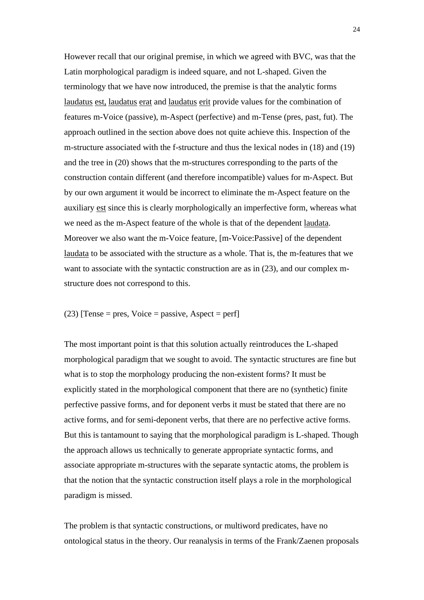However recall that our original premise, in which we agreed with BVC, was that the Latin morphological paradigm is indeed square, and not L-shaped. Given the terminology that we have now introduced, the premise is that the analytic forms laudatus est, laudatus erat and laudatus erit provide values for the combination of features m-Voice (passive), m-Aspect (perfective) and m-Tense (pres, past, fut). The approach outlined in the section above does not quite achieve this. Inspection of the m-structure associated with the f-structure and thus the lexical nodes in (18) and (19) and the tree in (20) shows that the m-structures corresponding to the parts of the construction contain different (and therefore incompatible) values for m-Aspect. But by our own argument it would be incorrect to eliminate the m-Aspect feature on the auxiliary est since this is clearly morphologically an imperfective form, whereas what we need as the m-Aspect feature of the whole is that of the dependent laudata. Moreover we also want the m-Voice feature, [m-Voice:Passive] of the dependent laudata to be associated with the structure as a whole. That is, the m-features that we want to associate with the syntactic construction are as in (23), and our complex mstructure does not correspond to this.

#### $(23)$  [Tense = pres, Voice = passive, Aspect = perf]

The most important point is that this solution actually reintroduces the L-shaped morphological paradigm that we sought to avoid. The syntactic structures are fine but what is to stop the morphology producing the non-existent forms? It must be explicitly stated in the morphological component that there are no (synthetic) finite perfective passive forms, and for deponent verbs it must be stated that there are no active forms, and for semi-deponent verbs, that there are no perfective active forms. But this is tantamount to saying that the morphological paradigm is L-shaped. Though the approach allows us technically to generate appropriate syntactic forms, and associate appropriate m-structures with the separate syntactic atoms, the problem is that the notion that the syntactic construction itself plays a role in the morphological paradigm is missed.

The problem is that syntactic constructions, or multiword predicates, have no ontological status in the theory. Our reanalysis in terms of the Frank/Zaenen proposals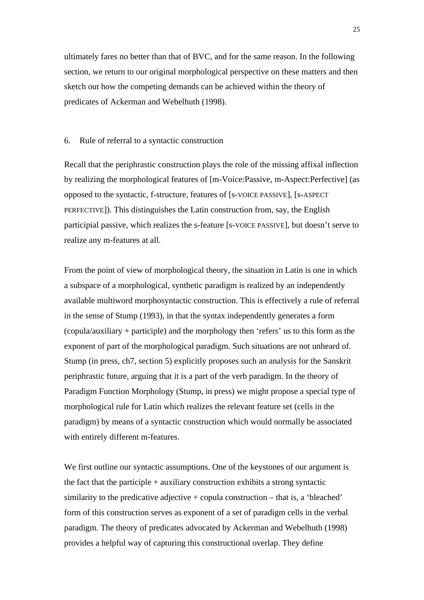ultimately fares no better than that of BVC, and for the same reason. In the following section, we return to our original morphological perspective on these matters and then sketch out how the competing demands can be achieved within the theory of predicates of Ackerman and Webelhuth (1998).

### 6. Rule of referral to a syntactic construction

Recall that the periphrastic construction plays the role of the missing affixal inflection by realizing the morphological features of [m-Voice:Passive, m-Aspect:Perfective] (as opposed to the syntactic, f-structure, features of [s-VOICE PASSIVE], [s-ASPECT PERFECTIVE]). This distinguishes the Latin construction from, say, the English participial passive, which realizes the s-feature [s-VOICE PASSIVE], but doesn't serve to realize any m-features at all.

From the point of view of morphological theory, the situation in Latin is one in which a subspace of a morphological, synthetic paradigm is realized by an independently available multiword morphosyntactic construction. This is effectively a rule of referral in the sense of Stump (1993), in that the syntax independently generates a form (copula/auxiliary + participle) and the morphology then 'refers' us to this form as the exponent of part of the morphological paradigm. Such situations are not unheard of. Stump (in press, ch7, section 5) explicitly proposes such an analysis for the Sanskrit periphrastic future, arguing that it is a part of the verb paradigm. In the theory of Paradigm Function Morphology (Stump, in press) we might propose a special type of morphological rule for Latin which realizes the relevant feature set (cells in the paradigm) by means of a syntactic construction which would normally be associated with entirely different m-features.

We first outline our syntactic assumptions. One of the keystones of our argument is the fact that the participle + auxiliary construction exhibits a strong syntactic similarity to the predicative adjective  $+$  copula construction  $-$  that is, a 'bleached' form of this construction serves as exponent of a set of paradigm cells in the verbal paradigm. The theory of predicates advocated by Ackerman and Webelhuth (1998) provides a helpful way of capturing this constructional overlap. They define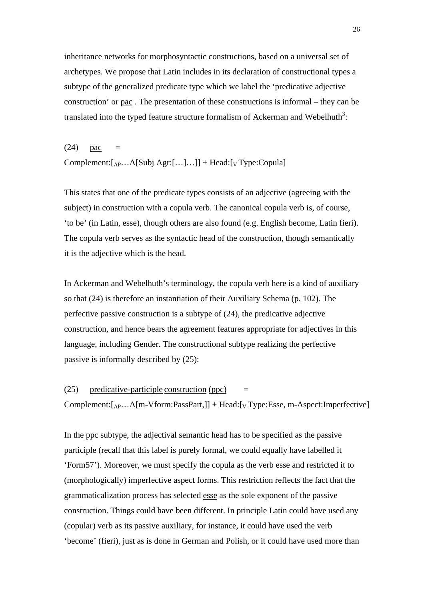inheritance networks for morphosyntactic constructions, based on a universal set of archetypes. We propose that Latin includes in its declaration of constructional types a subtype of the generalized predicate type which we label the 'predicative adjective construction' or pac . The presentation of these constructions is informal – they can be translated into the typed feature structure formalism of Ackerman and Webelhuth<sup>3</sup>:

 $(24)$  pac = Complement: $[\text{AP} \dots \text{A} | \text{Subi} \text{ Agr:} [\dots] \dots]$ ] + Head: $[\text{V} \text{Type:} \text{Copula}]$ 

This states that one of the predicate types consists of an adjective (agreeing with the subject) in construction with a copula verb. The canonical copula verb is, of course, 'to be' (in Latin, esse), though others are also found (e.g. English become, Latin fieri). The copula verb serves as the syntactic head of the construction, though semantically it is the adjective which is the head.

In Ackerman and Webelhuth's terminology, the copula verb here is a kind of auxiliary so that (24) is therefore an instantiation of their Auxiliary Schema (p. 102). The perfective passive construction is a subtype of (24), the predicative adjective construction, and hence bears the agreement features appropriate for adjectives in this language, including Gender. The constructional subtype realizing the perfective passive is informally described by (25):

(25) predicative-participle construction (ppc)  $=$ Complement: $[A_P...A[m-Vform:PassPart,]] + Head:[VType:Esse, m-Aspect:Imperfective]$ 

In the ppc subtype, the adjectival semantic head has to be specified as the passive participle (recall that this label is purely formal, we could equally have labelled it 'Form57'). Moreover, we must specify the copula as the verb esse and restricted it to (morphologically) imperfective aspect forms. This restriction reflects the fact that the grammaticalization process has selected esse as the sole exponent of the passive construction. Things could have been different. In principle Latin could have used any (copular) verb as its passive auxiliary, for instance, it could have used the verb 'become' (fieri), just as is done in German and Polish, or it could have used more than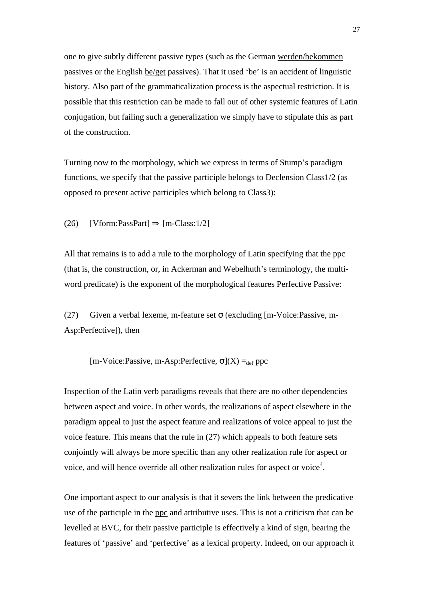one to give subtly different passive types (such as the German werden/bekommen passives or the English be/get passives). That it used 'be' is an accident of linguistic history. Also part of the grammaticalization process is the aspectual restriction. It is possible that this restriction can be made to fall out of other systemic features of Latin conjugation, but failing such a generalization we simply have to stipulate this as part of the construction.

Turning now to the morphology, which we express in terms of Stump's paradigm functions, we specify that the passive participle belongs to Declension Class1/2 (as opposed to present active participles which belong to Class3):

# (26) [Vform:PassPart]  $\Rightarrow$  [m-Class:1/2]

All that remains is to add a rule to the morphology of Latin specifying that the ppc (that is, the construction, or, in Ackerman and Webelhuth's terminology, the multiword predicate) is the exponent of the morphological features Perfective Passive:

(27) Given a verbal lexeme, m-feature set  $\sigma$  (excluding [m-Voice: Passive, m-Asp:Perfective]), then

[m-Voice:Passive, m-Asp:Perfective,  $\sigma$ ](X) = $_{def}$  ppc

Inspection of the Latin verb paradigms reveals that there are no other dependencies between aspect and voice. In other words, the realizations of aspect elsewhere in the paradigm appeal to just the aspect feature and realizations of voice appeal to just the voice feature. This means that the rule in (27) which appeals to both feature sets conjointly will always be more specific than any other realization rule for aspect or voice, and will hence override all other realization rules for aspect or voice<sup>4</sup>.

One important aspect to our analysis is that it severs the link between the predicative use of the participle in the ppc and attributive uses. This is not a criticism that can be levelled at BVC, for their passive participle is effectively a kind of sign, bearing the features of 'passive' and 'perfective' as a lexical property. Indeed, on our approach it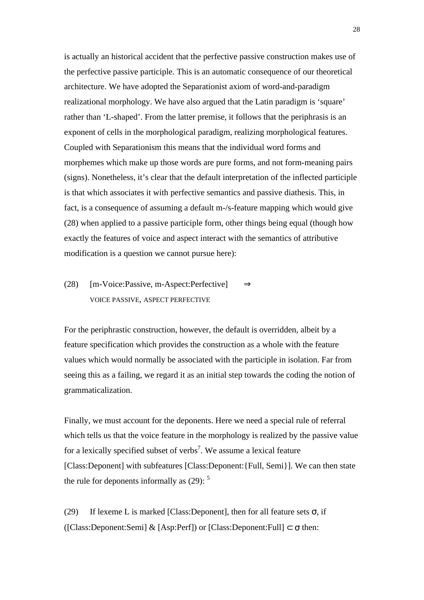is actually an historical accident that the perfective passive construction makes use of the perfective passive participle. This is an automatic consequence of our theoretical architecture. We have adopted the Separationist axiom of word-and-paradigm realizational morphology. We have also argued that the Latin paradigm is 'square' rather than 'L-shaped'. From the latter premise, it follows that the periphrasis is an exponent of cells in the morphological paradigm, realizing morphological features. Coupled with Separationism this means that the individual word forms and morphemes which make up those words are pure forms, and not form-meaning pairs (signs). Nonetheless, it's clear that the default interpretation of the inflected participle is that which associates it with perfective semantics and passive diathesis. This, in fact, is a consequence of assuming a default m-/s-feature mapping which would give (28) when applied to a passive participle form, other things being equal (though how exactly the features of voice and aspect interact with the semantics of attributive modification is a question we cannot pursue here):

# (28)  $[m-Voice:Passive, m-Aspect:Perfective] \Rightarrow$ VOICE PASSIVE, ASPECT PERFECTIVE

For the periphrastic construction, however, the default is overridden, albeit by a feature specification which provides the construction as a whole with the feature values which would normally be associated with the participle in isolation. Far from seeing this as a failing, we regard it as an initial step towards the coding the notion of grammaticalization.

Finally, we must account for the deponents. Here we need a special rule of referral which tells us that the voice feature in the morphology is realized by the passive value for a lexically specified subset of verbs<sup>7</sup>. We assume a lexical feature [Class:Deponent] with subfeatures [Class:Deponent:{Full, Semi}]. We can then state the rule for deponents informally as  $(29)$ :  $<sup>5</sup>$ </sup>

(29) If lexeme L is marked [Class: Deponent], then for all feature sets  $\sigma$ , if ([Class:Deponent:Semi] & [Asp:Perf]) or [Class:Deponent:Full]  $\subset \sigma$  then: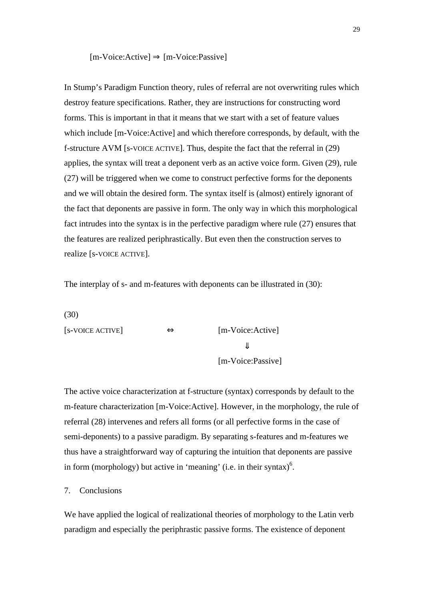#### $[m-Voice:Active] \Rightarrow [m-Voice:Passive]$

In Stump's Paradigm Function theory, rules of referral are not overwriting rules which destroy feature specifications. Rather, they are instructions for constructing word forms. This is important in that it means that we start with a set of feature values which include [m-Voice:Active] and which therefore corresponds, by default, with the f-structure AVM [s-VOICE ACTIVE]. Thus, despite the fact that the referral in (29) applies, the syntax will treat a deponent verb as an active voice form. Given (29), rule (27) will be triggered when we come to construct perfective forms for the deponents and we will obtain the desired form. The syntax itself is (almost) entirely ignorant of the fact that deponents are passive in form. The only way in which this morphological fact intrudes into the syntax is in the perfective paradigm where rule (27) ensures that the features are realized periphrastically. But even then the construction serves to realize [s-VOICE ACTIVE].

The interplay of s- and m-features with deponents can be illustrated in (30):

(30)

[s-VOICE ACTIVE] ⇔ [m-Voice:Active]  $\prod$ [m-Voice:Passive]

The active voice characterization at f-structure (syntax) corresponds by default to the m-feature characterization [m-Voice:Active]. However, in the morphology, the rule of referral (28) intervenes and refers all forms (or all perfective forms in the case of semi-deponents) to a passive paradigm. By separating s-features and m-features we thus have a straightforward way of capturing the intuition that deponents are passive in form (morphology) but active in 'meaning' (i.e. in their syntax) $6$ .

7. Conclusions

We have applied the logical of realizational theories of morphology to the Latin verb paradigm and especially the periphrastic passive forms. The existence of deponent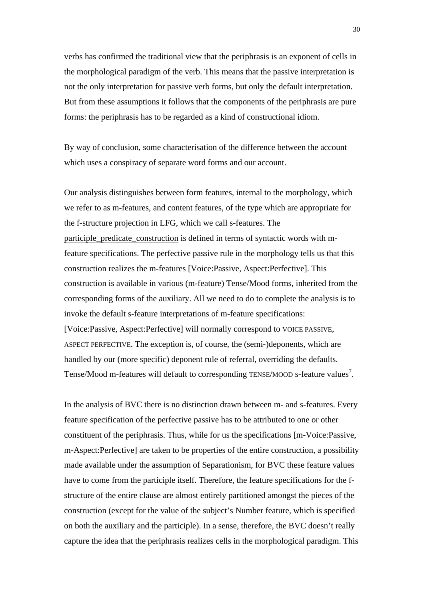verbs has confirmed the traditional view that the periphrasis is an exponent of cells in the morphological paradigm of the verb. This means that the passive interpretation is not the only interpretation for passive verb forms, but only the default interpretation. But from these assumptions it follows that the components of the periphrasis are pure forms: the periphrasis has to be regarded as a kind of constructional idiom.

By way of conclusion, some characterisation of the difference between the account which uses a conspiracy of separate word forms and our account.

Our analysis distinguishes between form features, internal to the morphology, which we refer to as m-features, and content features, of the type which are appropriate for the f-structure projection in LFG, which we call s-features. The participle predicate construction is defined in terms of syntactic words with mfeature specifications. The perfective passive rule in the morphology tells us that this construction realizes the m-features [Voice:Passive, Aspect:Perfective]. This construction is available in various (m-feature) Tense/Mood forms, inherited from the corresponding forms of the auxiliary. All we need to do to complete the analysis is to invoke the default s-feature interpretations of m-feature specifications: [Voice:Passive, Aspect:Perfective] will normally correspond to VOICE PASSIVE, ASPECT PERFECTIVE. The exception is, of course, the (semi-)deponents, which are handled by our (more specific) deponent rule of referral, overriding the defaults. Tense/Mood m-features will default to corresponding TENSE/MOOD s-feature values<sup>7</sup>.

In the analysis of BVC there is no distinction drawn between m- and s-features. Every feature specification of the perfective passive has to be attributed to one or other constituent of the periphrasis. Thus, while for us the specifications [m-Voice:Passive, m-Aspect:Perfective] are taken to be properties of the entire construction, a possibility made available under the assumption of Separationism, for BVC these feature values have to come from the participle itself. Therefore, the feature specifications for the fstructure of the entire clause are almost entirely partitioned amongst the pieces of the construction (except for the value of the subject's Number feature, which is specified on both the auxiliary and the participle). In a sense, therefore, the BVC doesn't really capture the idea that the periphrasis realizes cells in the morphological paradigm. This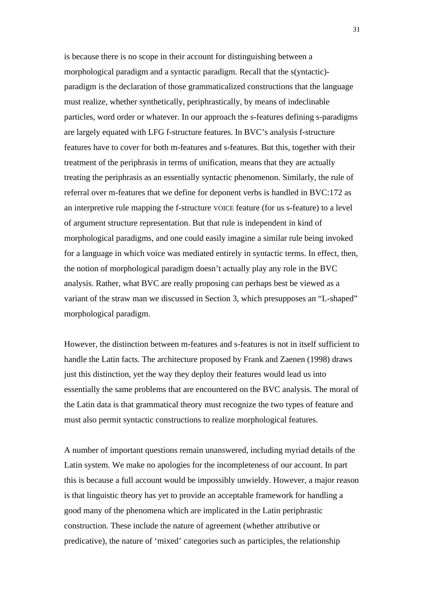is because there is no scope in their account for distinguishing between a morphological paradigm and a syntactic paradigm. Recall that the s(yntactic) paradigm is the declaration of those grammaticalized constructions that the language must realize, whether synthetically, periphrastically, by means of indeclinable particles, word order or whatever. In our approach the s-features defining s-paradigms are largely equated with LFG f-structure features. In BVC's analysis f-structure features have to cover for both m-features and s-features. But this, together with their treatment of the periphrasis in terms of unification, means that they are actually treating the periphrasis as an essentially syntactic phenomenon. Similarly, the rule of referral over m-features that we define for deponent verbs is handled in BVC:172 as an interpretive rule mapping the f-structure VOICE feature (for us s-feature) to a level of argument structure representation. But that rule is independent in kind of morphological paradigms, and one could easily imagine a similar rule being invoked for a language in which voice was mediated entirely in syntactic terms. In effect, then, the notion of morphological paradigm doesn't actually play any role in the BVC analysis. Rather, what BVC are really proposing can perhaps best be viewed as a variant of the straw man we discussed in Section 3, which presupposes an "L-shaped" morphological paradigm.

However, the distinction between m-features and s-features is not in itself sufficient to handle the Latin facts. The architecture proposed by Frank and Zaenen (1998) draws just this distinction, yet the way they deploy their features would lead us into essentially the same problems that are encountered on the BVC analysis. The moral of the Latin data is that grammatical theory must recognize the two types of feature and must also permit syntactic constructions to realize morphological features.

A number of important questions remain unanswered, including myriad details of the Latin system. We make no apologies for the incompleteness of our account. In part this is because a full account would be impossibly unwieldy. However, a major reason is that linguistic theory has yet to provide an acceptable framework for handling a good many of the phenomena which are implicated in the Latin periphrastic construction. These include the nature of agreement (whether attributive or predicative), the nature of 'mixed' categories such as participles, the relationship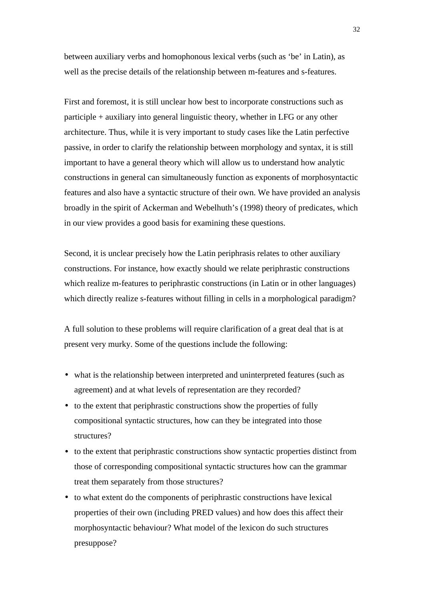between auxiliary verbs and homophonous lexical verbs (such as 'be' in Latin), as well as the precise details of the relationship between m-features and s-features.

First and foremost, it is still unclear how best to incorporate constructions such as participle + auxiliary into general linguistic theory, whether in LFG or any other architecture. Thus, while it is very important to study cases like the Latin perfective passive, in order to clarify the relationship between morphology and syntax, it is still important to have a general theory which will allow us to understand how analytic constructions in general can simultaneously function as exponents of morphosyntactic features and also have a syntactic structure of their own. We have provided an analysis broadly in the spirit of Ackerman and Webelhuth's (1998) theory of predicates, which in our view provides a good basis for examining these questions.

Second, it is unclear precisely how the Latin periphrasis relates to other auxiliary constructions. For instance, how exactly should we relate periphrastic constructions which realize m-features to periphrastic constructions (in Latin or in other languages) which directly realize s-features without filling in cells in a morphological paradigm?

A full solution to these problems will require clarification of a great deal that is at present very murky. Some of the questions include the following:

- what is the relationship between interpreted and uninterpreted features (such as agreement) and at what levels of representation are they recorded?
- to the extent that periphrastic constructions show the properties of fully compositional syntactic structures, how can they be integrated into those structures?
- to the extent that periphrastic constructions show syntactic properties distinct from those of corresponding compositional syntactic structures how can the grammar treat them separately from those structures?
- to what extent do the components of periphrastic constructions have lexical properties of their own (including PRED values) and how does this affect their morphosyntactic behaviour? What model of the lexicon do such structures presuppose?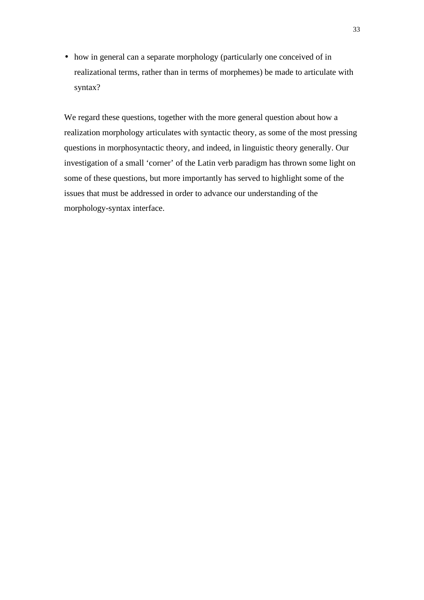• how in general can a separate morphology (particularly one conceived of in realizational terms, rather than in terms of morphemes) be made to articulate with syntax?

We regard these questions, together with the more general question about how a realization morphology articulates with syntactic theory, as some of the most pressing questions in morphosyntactic theory, and indeed, in linguistic theory generally. Our investigation of a small 'corner' of the Latin verb paradigm has thrown some light on some of these questions, but more importantly has served to highlight some of the issues that must be addressed in order to advance our understanding of the morphology-syntax interface.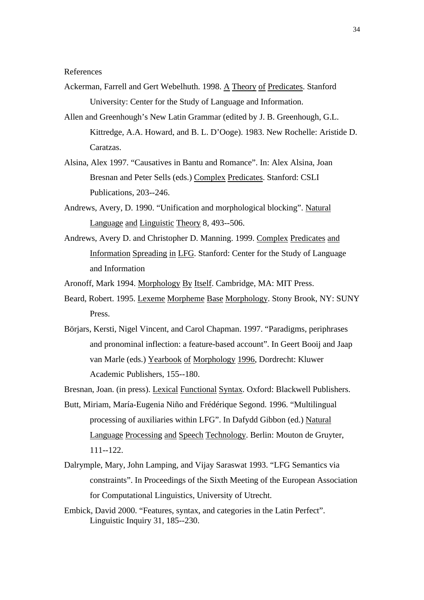References

- Ackerman, Farrell and Gert Webelhuth. 1998. A Theory of Predicates. Stanford University: Center for the Study of Language and Information.
- Allen and Greenhough's New Latin Grammar (edited by J. B. Greenhough, G.L. Kittredge, A.A. Howard, and B. L. D'Ooge). 1983. New Rochelle: Aristide D. Caratzas.
- Alsina, Alex 1997. "Causatives in Bantu and Romance". In: Alex Alsina, Joan Bresnan and Peter Sells (eds.) Complex Predicates. Stanford: CSLI Publications, 203--246.
- Andrews, Avery, D. 1990. "Unification and morphological blocking". Natural Language and Linguistic Theory 8, 493--506.
- Andrews, Avery D. and Christopher D. Manning. 1999. Complex Predicates and Information Spreading in LFG. Stanford: Center for the Study of Language and Information
- Aronoff, Mark 1994. Morphology By Itself. Cambridge, MA: MIT Press.
- Beard, Robert. 1995. Lexeme Morpheme Base Morphology. Stony Brook, NY: SUNY Press.
- Börjars, Kersti, Nigel Vincent, and Carol Chapman. 1997. "Paradigms, periphrases and pronominal inflection: a feature-based account". In Geert Booij and Jaap van Marle (eds.) Yearbook of Morphology 1996, Dordrecht: Kluwer Academic Publishers, 155--180.

Bresnan, Joan. (in press). Lexical Functional Syntax. Oxford: Blackwell Publishers.

- Butt, Miriam, María-Eugenia Niño and Frédérique Segond. 1996. "Multilingual processing of auxiliaries within LFG". In Dafydd Gibbon (ed.) Natural Language Processing and Speech Technology. Berlin: Mouton de Gruyter, 111--122.
- Dalrymple, Mary, John Lamping, and Vijay Saraswat 1993. "LFG Semantics via constraints". In Proceedings of the Sixth Meeting of the European Association for Computational Linguistics, University of Utrecht.
- Embick, David 2000. "Features, syntax, and categories in the Latin Perfect". Linguistic Inquiry 31, 185--230.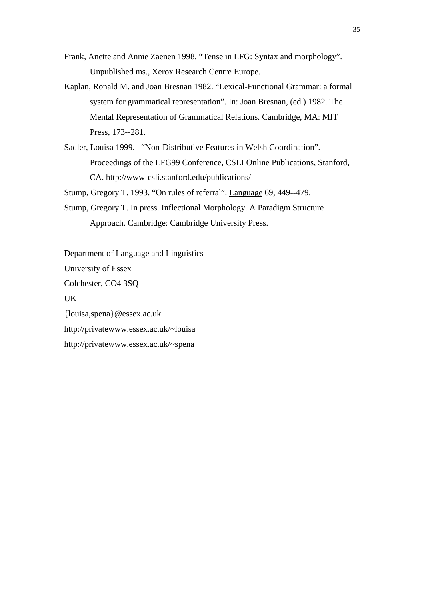- Frank, Anette and Annie Zaenen 1998. "Tense in LFG: Syntax and morphology". Unpublished ms., Xerox Research Centre Europe.
- Kaplan, Ronald M. and Joan Bresnan 1982. "Lexical-Functional Grammar: a formal system for grammatical representation". In: Joan Bresnan, (ed.) 1982. The Mental Representation of Grammatical Relations. Cambridge, MA: MIT Press, 173--281.
- Sadler, Louisa 1999. "Non-Distributive Features in Welsh Coordination". Proceedings of the LFG99 Conference, CSLI Online Publications, Stanford, CA. http://www-csli.stanford.edu/publications/

Stump, Gregory T. 1993. "On rules of referral". Language 69, 449--479.

Stump, Gregory T. In press. Inflectional Morphology. A Paradigm Structure Approach. Cambridge: Cambridge University Press.

Department of Language and Linguistics

University of Essex

Colchester, CO4 3SQ

UK

{louisa,spena}@essex.ac.uk

http://privatewww.essex.ac.uk/~louisa

http://privatewww.essex.ac.uk/~spena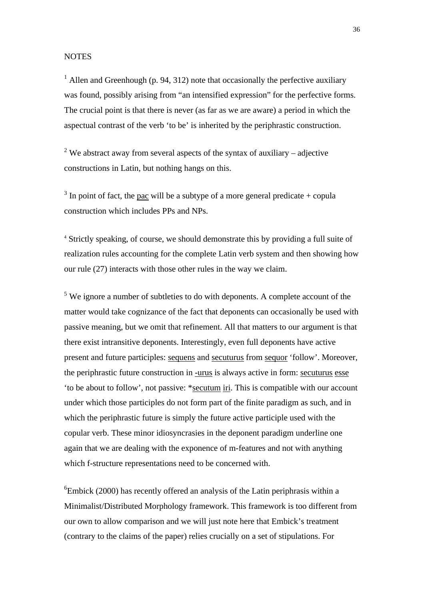#### **NOTES**

 $<sup>1</sup>$  Allen and Greenhough (p. 94, 312) note that occasionally the perfective auxiliary</sup> was found, possibly arising from "an intensified expression" for the perfective forms. The crucial point is that there is never (as far as we are aware) a period in which the aspectual contrast of the verb 'to be' is inherited by the periphrastic construction.

<sup>2</sup> We abstract away from several aspects of the syntax of auxiliary – adjective constructions in Latin, but nothing hangs on this.

 $3$  In point of fact, the pac will be a subtype of a more general predicate + copula construction which includes PPs and NPs.

4 Strictly speaking, of course, we should demonstrate this by providing a full suite of realization rules accounting for the complete Latin verb system and then showing how our rule (27) interacts with those other rules in the way we claim.

<sup>5</sup> We ignore a number of subtleties to do with deponents. A complete account of the matter would take cognizance of the fact that deponents can occasionally be used with passive meaning, but we omit that refinement. All that matters to our argument is that there exist intransitive deponents. Interestingly, even full deponents have active present and future participles: sequens and secuturus from sequor 'follow'. Moreover, the periphrastic future construction in -urus is always active in form: secuturus esse 'to be about to follow', not passive: \*secutum iri. This is compatible with our account under which those participles do not form part of the finite paradigm as such, and in which the periphrastic future is simply the future active participle used with the copular verb. These minor idiosyncrasies in the deponent paradigm underline one again that we are dealing with the exponence of m-features and not with anything which f-structure representations need to be concerned with.

 ${}^{6}$ Embick (2000) has recently offered an analysis of the Latin periphrasis within a Minimalist/Distributed Morphology framework. This framework is too different from our own to allow comparison and we will just note here that Embick's treatment (contrary to the claims of the paper) relies crucially on a set of stipulations. For